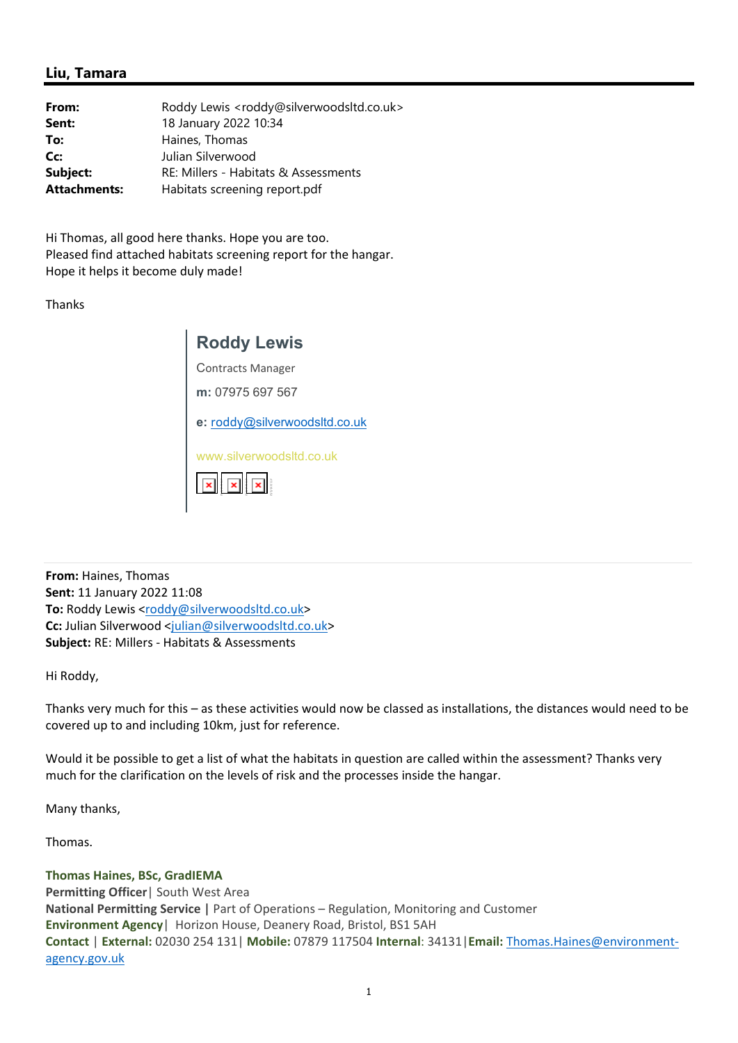## **Liu, Tamara**

| From:               | Roddy Lewis <roddy@silverwoodsltd.co.uk></roddy@silverwoodsltd.co.uk> |
|---------------------|-----------------------------------------------------------------------|
| Sent:               | 18 January 2022 10:34                                                 |
| To:                 | Haines, Thomas                                                        |
| Cc:                 | Julian Silverwood                                                     |
| Subject:            | RE: Millers - Habitats & Assessments                                  |
| <b>Attachments:</b> | Habitats screening report.pdf                                         |

Hi Thomas, all good here thanks. Hope you are too. Pleased find attached habitats screening report for the hangar. Hope it helps it become duly made!

Thanks

| <b>Roddy Lewis</b>                                                 |  |
|--------------------------------------------------------------------|--|
| <b>Contracts Manager</b>                                           |  |
| m: 07975 697 567                                                   |  |
| e: roddy@silverwoodsltd.co.uk                                      |  |
| www.silverwoodsltd.co.uk<br>$\mathbf{x}$ $\mathbf{x}$ $\mathbf{x}$ |  |

**From:** Haines, Thomas **Sent:** 11 January 2022 11:08 To: Roddy Lewis <roddy@silverwoodsltd.co.uk> **Cc:** Julian Silverwood <julian@silverwoodsltd.co.uk> **Subject:** RE: Millers ‐ Habitats & Assessments

Hi Roddy,

Thanks very much for this – as these activities would now be classed as installations, the distances would need to be covered up to and including 10km, just for reference.

Would it be possible to get a list of what the habitats in question are called within the assessment? Thanks very much for the clarification on the levels of risk and the processes inside the hangar.

Many thanks,

Thomas.

**Thomas Haines, BSc, GradIEMA Permitting Officer**| South West Area **National Permitting Service** | Part of Operations – Regulation, Monitoring and Customer **Environment Agency**| Horizon House, Deanery Road, Bristol, BS1 5AH **Contact** | **External:** 02030 254 131| **Mobile:** 07879 117504 **Internal**: 34131|**Email:** Thomas.Haines@environment‐ agency.gov.uk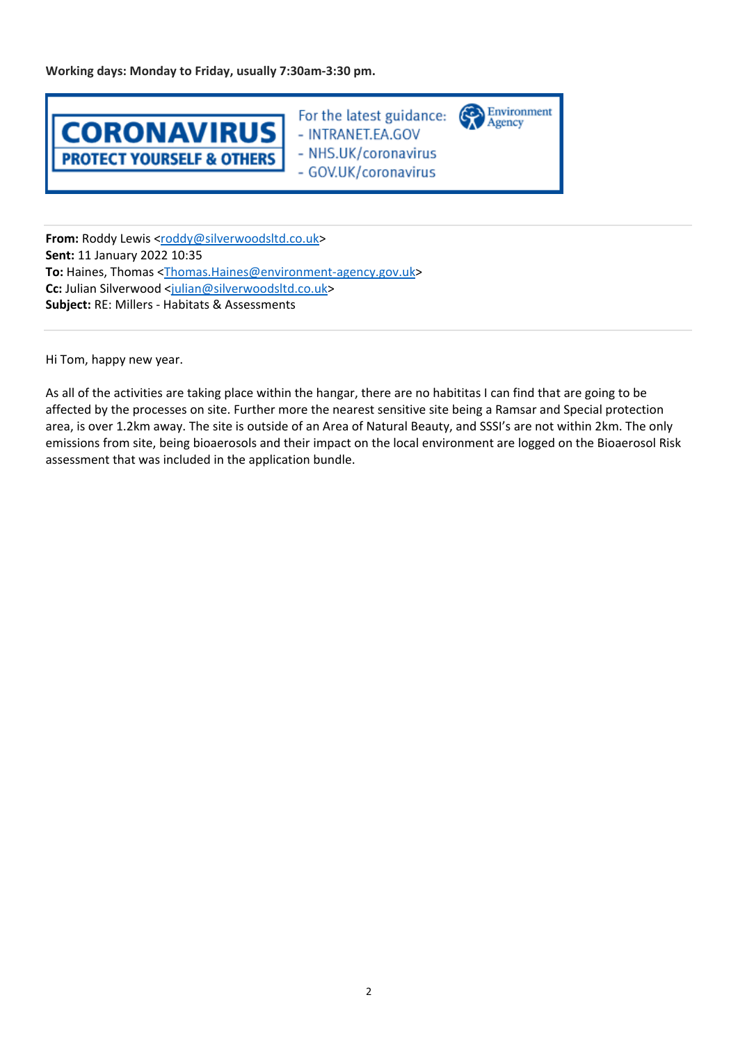**Working days: Monday to Friday, usually 7:30am‐3:30 pm.** 



For the latest guidance: - INTRANET.EA.GOV - NHS.UK/coronavirus - GOV.UK/coronavirus

Environment

Agency

From: Roddy Lewis <roddy@silverwoodsltd.co.uk> **Sent:** 11 January 2022 10:35 **To:** Haines, Thomas <Thomas.Haines@environment‐agency.gov.uk> **Cc:** Julian Silverwood <julian@silverwoodsltd.co.uk> **Subject:** RE: Millers ‐ Habitats & Assessments

Hi Tom, happy new year.

As all of the activities are taking place within the hangar, there are no habititas I can find that are going to be affected by the processes on site. Further more the nearest sensitive site being a Ramsar and Special protection area, is over 1.2km away. The site is outside of an Area of Natural Beauty, and SSSI's are not within 2km. The only emissions from site, being bioaerosols and their impact on the local environment are logged on the Bioaerosol Risk assessment that was included in the application bundle.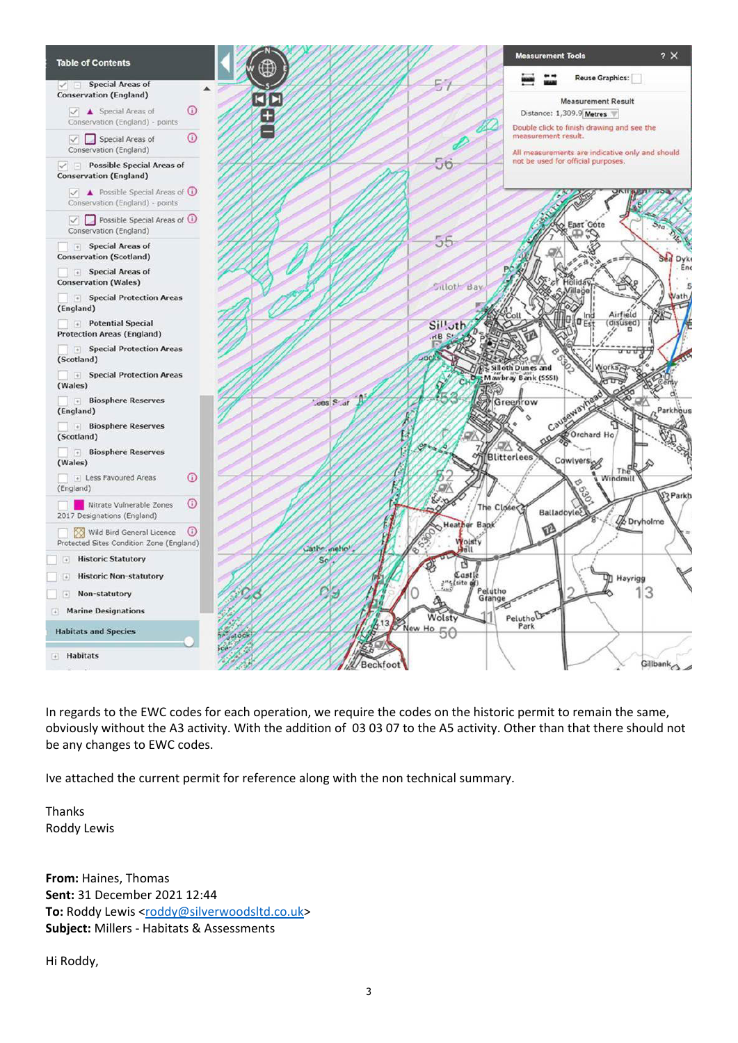

In regards to the EWC codes for each operation, we require the codes on the historic permit to remain the same, obviously without the A3 activity. With the addition of 03 03 07 to the A5 activity. Other than that there should not be any changes to EWC codes.

Ive attached the current permit for reference along with the non technical summary.

Thanks Roddy Lewis

**From:** Haines, Thomas **Sent:** 31 December 2021 12:44 To: Roddy Lewis <roddy@silverwoodsltd.co.uk> **Subject:** Millers ‐ Habitats & Assessments

Hi Roddy,